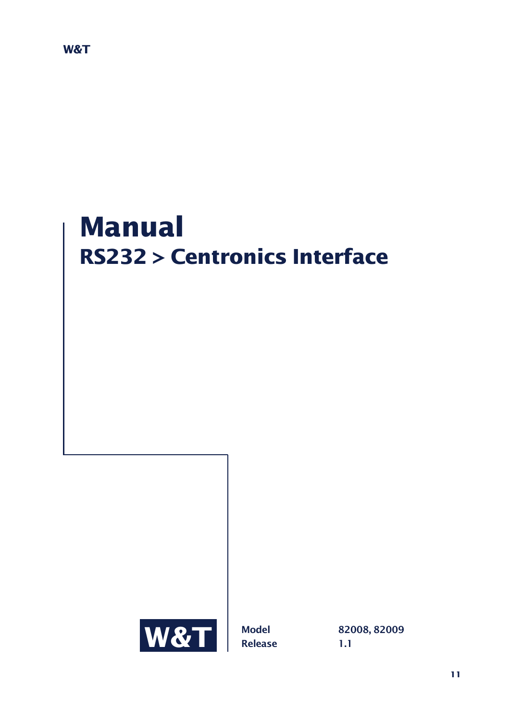# **Manual RS232 > Centronics Interface**

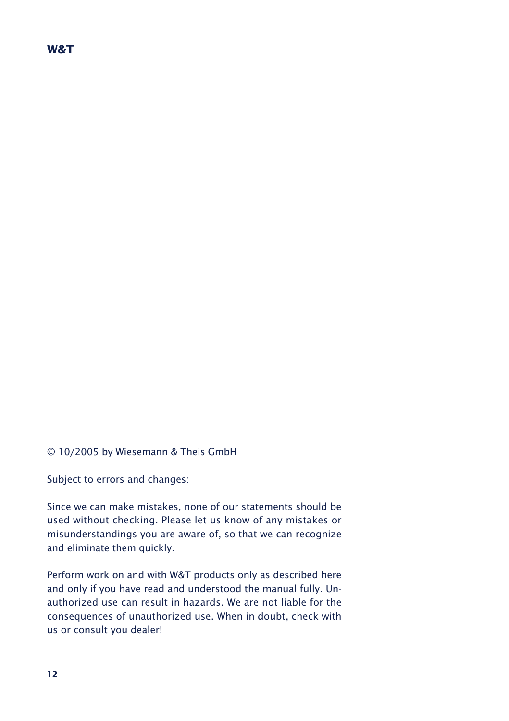## **W&T**

© 10/2005 by Wiesemann & Theis GmbH

Subject to errors and changes:

Since we can make mistakes, none of our statements should be used without checking. Please let us know of any mistakes or misunderstandings you are aware of, so that we can recognize and eliminate them quickly.

Perform work on and with W&T products only as described here and only if you have read and understood the manual fully. Unauthorized use can result in hazards. We are not liable for the consequences of unauthorized use. When in doubt, check with us or consult you dealer!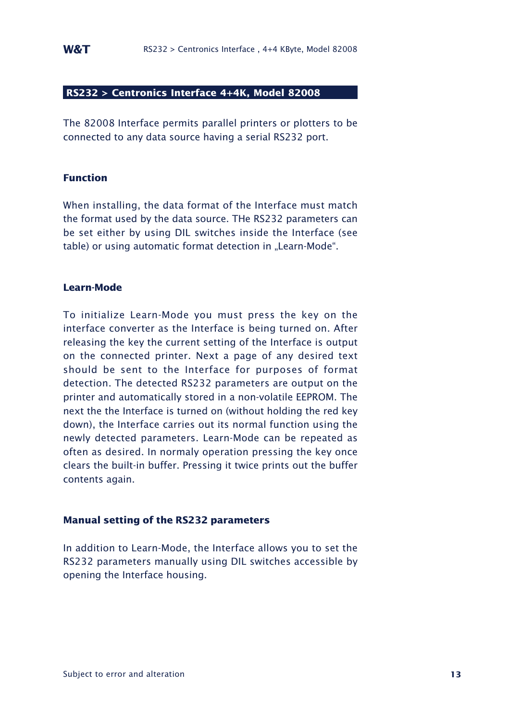## **RS232 > Centronics Interface 4+4K, Model 82008**

The 82008 Interface permits parallel printers or plotters to be connected to any data source having a serial RS232 port.

## **Function**

When installing, the data format of the Interface must match the format used by the data source. THe RS232 parameters can be set either by using DIL switches inside the Interface (see table) or using automatic format detection in "Learn-Mode".

#### **Learn-Mode**

To initialize Learn-Mode you must press the key on the interface converter as the Interface is being turned on. After releasing the key the current setting of the Interface is output on the connected printer. Next a page of any desired text should be sent to the Interface for purposes of format detection. The detected RS232 parameters are output on the printer and automatically stored in a non-volatile EEPROM. The next the the Interface is turned on (without holding the red key down), the Interface carries out its normal function using the newly detected parameters. Learn-Mode can be repeated as often as desired. In normaly operation pressing the key once clears the built-in buffer. Pressing it twice prints out the buffer contents again.

## **Manual setting of the RS232 parameters**

In addition to Learn-Mode, the Interface allows you to set the RS232 parameters manually using DIL switches accessible by opening the Interface housing.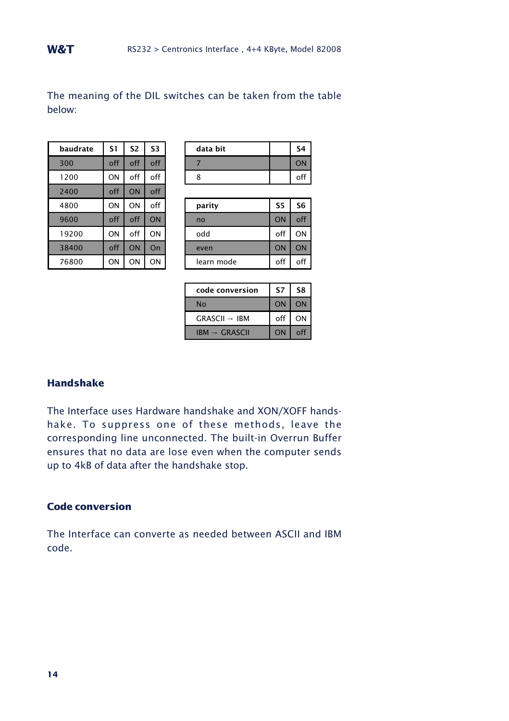The meaning of the DIL switches can be taken from the table below:

| baudrate | S1  | S <sub>2</sub> | S <sub>3</sub> |
|----------|-----|----------------|----------------|
| 300      | off | off            | off            |
| 1200     | ON  | off            | off            |
| 2400     | off | ON             | off            |
| 4800     | ON  | ON             | off            |
| 9600     | off | off            | ON             |
| 19200    | ON  | off            | ON             |
| 38400    | off | ON             | On             |
| 76800    | ON  | ON             | ON             |

| baudrate | 51  | S2  | S3    | data bit | S4 |
|----------|-----|-----|-------|----------|----|
| 300      | off | off | $-22$ |          |    |
| 1200     | ON  | off | off   |          |    |
|          |     |     |       |          |    |

| 4800  | ON  | ON  | off | parity     | S5  | S6  |
|-------|-----|-----|-----|------------|-----|-----|
| 9600  | off | off | ON  | no         | ON  | off |
| 19200 | ΟN  | off | ON  | odd        | off | ON  |
| 38400 | off | ON  | On  | even       | ON  | ON  |
| 76800 | ΟN  | ΟN  | ON  | learn mode | off | off |

| code conversion          | S7  | S8 |
|--------------------------|-----|----|
| No                       | ON  | ON |
| $GRASCH \rightarrow IBM$ | off | ΟN |
| $IBM \rightarrow GRASCH$ | ON  |    |

## **Handshake**

The Interface uses Hardware handshake and XON/XOFF handshake. To suppress one of these methods, leave the corresponding line unconnected. The built-in Overrun Buffer ensures that no data are lose even when the computer sends up to 4kB of data after the handshake stop.

# **Code conversion**

The Interface can converte as needed between ASCII and IBM code.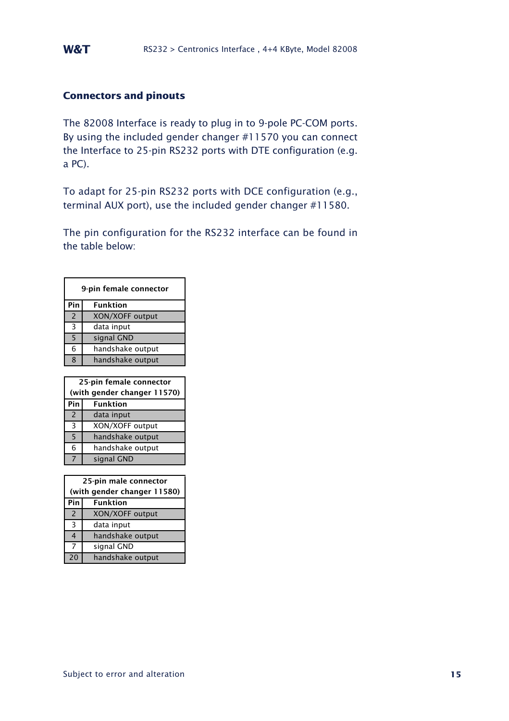## **Connectors and pinouts**

The 82008 Interface is ready to plug in to 9-pole PC-COM ports. By using the included gender changer #11570 you can connect the Interface to 25-pin RS232 ports with DTE configuration (e.g. a PC).

To adapt for 25-pin RS232 ports with DCE configuration (e.g., terminal AUX port), use the included gender changer #11580.

The pin configuration for the RS232 interface can be found in the table below:

|                | 9-pin female connector      |
|----------------|-----------------------------|
| Pin            | <b>Funktion</b>             |
| $\overline{2}$ | XON/XOFF output             |
| 3              | data input                  |
| 5              | signal GND                  |
| 6              | handshake output            |
| 8              | handshake output            |
|                |                             |
|                |                             |
|                | 25-pin female connector     |
|                | (with gender changer 11570) |
| Pin            | <b>Funktion</b>             |
| $\overline{2}$ | data input                  |
| 3              | XON/XOFF output             |
| 5              | handshake output            |
| 6              | handshake output            |

|                | 25-pin male connector       |
|----------------|-----------------------------|
|                | (with gender changer 11580) |
| Pin            | <b>Funktion</b>             |
| $\overline{2}$ | XON/XOFF output             |
| 3              | data input                  |
| 4              | handshake output            |
| 7              | signal GND                  |
| 20             | handshake output            |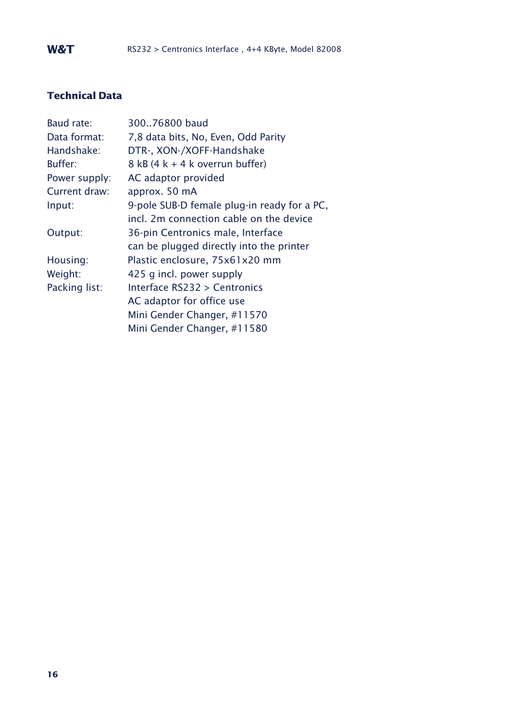# **Technical Data**

| Baud rate:    | 30076800 baud                               |
|---------------|---------------------------------------------|
| Data format:  | 7,8 data bits, No, Even, Odd Parity         |
| Handshake:    | DTR-, XON-/XOFF-Handshake                   |
| Buffer:       | $8$ kB (4 k + 4 k overrun buffer)           |
| Power supply: | AC adaptor provided                         |
| Current draw: | approx. 50 mA                               |
| Input:        | 9-pole SUB-D female plug-in ready for a PC, |
|               | incl. 2m connection cable on the device     |
| Output:       | 36-pin Centronics male, Interface           |
|               | can be plugged directly into the printer    |
| Housing:      | Plastic enclosure, 75x61x20 mm              |
| Weight:       | 425 g incl. power supply                    |
| Packing list: | Interface RS232 > Centronics                |
|               | AC adaptor for office use                   |
|               | Mini Gender Changer, #11570                 |
|               | Mini Gender Changer, #11580                 |
|               |                                             |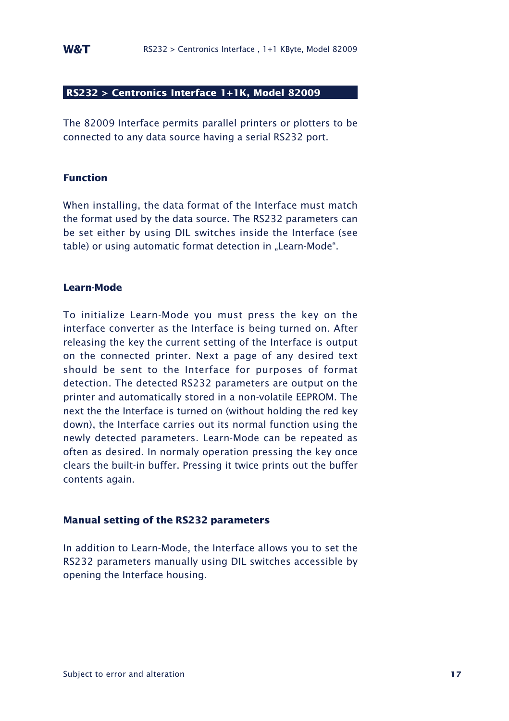## **RS232 > Centronics Interface 1+1K, Model 82009**

The 82009 Interface permits parallel printers or plotters to be connected to any data source having a serial RS232 port.

## **Function**

When installing, the data format of the Interface must match the format used by the data source. The RS232 parameters can be set either by using DIL switches inside the Interface (see table) or using automatic format detection in "Learn-Mode".

#### **Learn-Mode**

To initialize Learn-Mode you must press the key on the interface converter as the Interface is being turned on. After releasing the key the current setting of the Interface is output on the connected printer. Next a page of any desired text should be sent to the Interface for purposes of format detection. The detected RS232 parameters are output on the printer and automatically stored in a non-volatile EEPROM. The next the the Interface is turned on (without holding the red key down), the Interface carries out its normal function using the newly detected parameters. Learn-Mode can be repeated as often as desired. In normaly operation pressing the key once clears the built-in buffer. Pressing it twice prints out the buffer contents again.

## **Manual setting of the RS232 parameters**

In addition to Learn-Mode, the Interface allows you to set the RS232 parameters manually using DIL switches accessible by opening the Interface housing.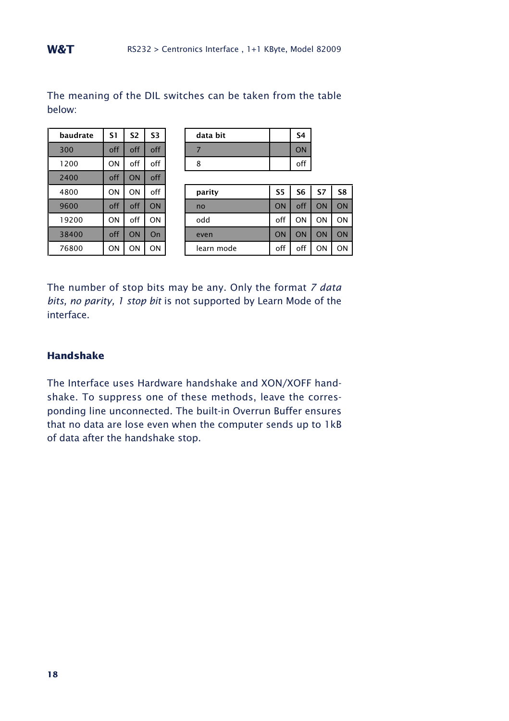| baudrate | S1  | S2  | S3        | data bit   |           | S <sub>4</sub> |
|----------|-----|-----|-----------|------------|-----------|----------------|
| 300      | off | off | off       |            |           | ON             |
| 1200     | ON  | off | off       | 8          |           | off            |
| 2400     | off | ON  | off       |            |           |                |
| 4800     | ON  | ON  | off       | parity     | <b>S5</b> | S <sub>6</sub> |
| 9600     | off | off | <b>ON</b> | no         | ON        | off            |
| 19200    | ON  | off | ON        | odd        | off       | O٨             |
| 38400    | off | ON  | On        | even       | ON        | ON             |
| 76800    | ON  | ON  | ON        | learn mode | off       | off            |

|        |  | The meaning of the DIL switches can be taken from the table |  |  |  |
|--------|--|-------------------------------------------------------------|--|--|--|
| below: |  |                                                             |  |  |  |

| ON             |        | off | off | off       | 300  |
|----------------|--------|-----|-----|-----------|------|
| off            | 8      | off | off | <b>ON</b> | 1200 |
|                |        | off | ON  | off       | 2400 |
| S5<br>S7<br>S6 | parity | off | OΝ  | ON        | 4800 |
|                |        |     |     |           |      |

| 4800  | ΟN  | ΟN  | off | parity     | S5  | S6  | S7 | S8 |
|-------|-----|-----|-----|------------|-----|-----|----|----|
| 9600  | off | off | ΟN  | no         | ON  | off | ON | ON |
| 19200 | ON  | off | OΝ  | odd        | off | OΝ  | ON | ON |
| 38400 | off |     | On  | even       | ON  | ON  | ON | ON |
| 76800 | ON  | ON  | ON  | learn mode | off | off | ΟN | ON |

The number of stop bits may be any. Only the format *7 data bits, no parity, 1 stop bit* is not supported by Learn Mode of the interface.

## **Handshake**

The Interface uses Hardware handshake and XON/XOFF handshake. To suppress one of these methods, leave the corresponding line unconnected. The built-in Overrun Buffer ensures that no data are lose even when the computer sends up to 1kB of data after the handshake stop.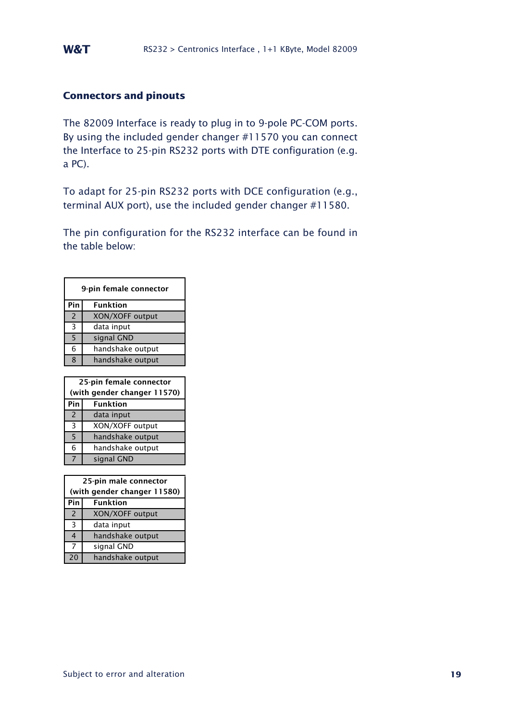## **Connectors and pinouts**

The 82009 Interface is ready to plug in to 9-pole PC-COM ports. By using the included gender changer #11570 you can connect the Interface to 25-pin RS232 ports with DTE configuration (e.g. a PC).

To adapt for 25-pin RS232 ports with DCE configuration (e.g., terminal AUX port), use the included gender changer #11580.

The pin configuration for the RS232 interface can be found in the table below:

|                | 9-pin female connector      |
|----------------|-----------------------------|
| Pin            | <b>Funktion</b>             |
| $\overline{2}$ | XON/XOFF output             |
| 3              | data input                  |
| 5              | signal GND                  |
| 6              | handshake output            |
| 8              | handshake output            |
|                |                             |
|                |                             |
|                | 25-pin female connector     |
|                | (with gender changer 11570) |
| Pin            | <b>Funktion</b>             |
| $\overline{2}$ | data input                  |
| 3              | XON/XOFF output             |
| 5              | handshake output            |
| 6              | handshake output            |

| 25-pin male connector       |                  |  |
|-----------------------------|------------------|--|
| (with gender changer 11580) |                  |  |
| Pin                         | <b>Funktion</b>  |  |
| $\overline{2}$              | XON/XOFF output  |  |
| 3                           | data input       |  |
| 4                           | handshake output |  |
| 7                           | signal GND       |  |
| 20                          | handshake output |  |